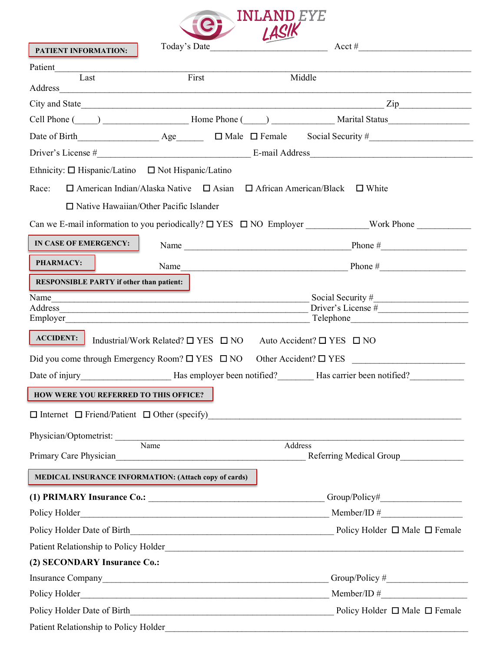

| PATIENT INFORMATION:                                                                                                                                                                                                             | Today's Date                                                                                 | $\sim$ |                                                                                                                                                                                                                                      |
|----------------------------------------------------------------------------------------------------------------------------------------------------------------------------------------------------------------------------------|----------------------------------------------------------------------------------------------|--------|--------------------------------------------------------------------------------------------------------------------------------------------------------------------------------------------------------------------------------------|
| Patient                                                                                                                                                                                                                          |                                                                                              |        |                                                                                                                                                                                                                                      |
| Last                                                                                                                                                                                                                             | First                                                                                        |        | Middle                                                                                                                                                                                                                               |
|                                                                                                                                                                                                                                  |                                                                                              |        |                                                                                                                                                                                                                                      |
|                                                                                                                                                                                                                                  |                                                                                              |        | Cell Phone (Coll Phone Coll 2014) [2015] Home Phone (Coll 2014) [2015] Marital Status                                                                                                                                                |
|                                                                                                                                                                                                                                  |                                                                                              |        | Date of Birth $\qquad \qquad \text{Age} \qquad \qquad \Box$ Male $\Box$ Female Social Security #                                                                                                                                     |
|                                                                                                                                                                                                                                  |                                                                                              |        |                                                                                                                                                                                                                                      |
| Ethnicity: □ Hispanic/Latino □ Not Hispanic/Latino                                                                                                                                                                               |                                                                                              |        |                                                                                                                                                                                                                                      |
| Race:                                                                                                                                                                                                                            | $\Box$ American Indian/Alaska Native $\Box$ Asian $\Box$ African American/Black $\Box$ White |        |                                                                                                                                                                                                                                      |
|                                                                                                                                                                                                                                  | $\Box$ Native Hawaiian/Other Pacific Islander                                                |        |                                                                                                                                                                                                                                      |
|                                                                                                                                                                                                                                  |                                                                                              |        | Can we E-mail information to you periodically? □ YES □ NO Employer _____________Work Phone _________                                                                                                                                 |
| IN CASE OF EMERGENCY:                                                                                                                                                                                                            |                                                                                              |        |                                                                                                                                                                                                                                      |
| <b>PHARMACY:</b>                                                                                                                                                                                                                 |                                                                                              |        | Name $\frac{1}{2}$ Phone $\frac{1}{2}$ Phone $\frac{1}{2}$ Phone $\frac{1}{2}$                                                                                                                                                       |
| <b>RESPONSIBLE PARTY if other than patient:</b>                                                                                                                                                                                  |                                                                                              |        |                                                                                                                                                                                                                                      |
|                                                                                                                                                                                                                                  |                                                                                              |        | Name Social Security # Social Security # Social Security # Social Security # Social Security # Social Security # Social Security # Social Security # Social Security # Social Security # Social Security # Social Security # S       |
|                                                                                                                                                                                                                                  |                                                                                              |        | Employer Telephone Contains a structure of the Containing Telephone Contains a structure of the Contains and Telephone Contains a structure of the Contains and Telephone Contains a structure of the Contains and the Contain       |
|                                                                                                                                                                                                                                  | Industrial/Work Related? $\Box$ YES $\Box$ NO Auto Accident? $\Box$ YES $\Box$ NO            |        | Did you come through Emergency Room? □ YES □ NO Other Accident? □ YES ______________________________<br>Date of injury _________________________Has employer been notified? _________Has carrier been notified?                      |
| <b>HOW WERE YOU REFERRED TO THIS OFFICE?</b>                                                                                                                                                                                     |                                                                                              |        |                                                                                                                                                                                                                                      |
| $\Box$ Internet $\Box$ Friend/Patient $\Box$ Other (specify)                                                                                                                                                                     |                                                                                              |        |                                                                                                                                                                                                                                      |
|                                                                                                                                                                                                                                  |                                                                                              |        |                                                                                                                                                                                                                                      |
| Physician/Optometrist: Name                                                                                                                                                                                                      |                                                                                              |        | Address                                                                                                                                                                                                                              |
|                                                                                                                                                                                                                                  |                                                                                              |        |                                                                                                                                                                                                                                      |
| MEDICAL INSURANCE INFORMATION: (Attach copy of cards)                                                                                                                                                                            |                                                                                              |        |                                                                                                                                                                                                                                      |
|                                                                                                                                                                                                                                  |                                                                                              |        |                                                                                                                                                                                                                                      |
|                                                                                                                                                                                                                                  |                                                                                              |        | Policy Holder <u> Letter</u> <b>Example 10</b> Member/ID $\#$ <b>Member/ID</b> $\#$                                                                                                                                                  |
|                                                                                                                                                                                                                                  |                                                                                              |        |                                                                                                                                                                                                                                      |
|                                                                                                                                                                                                                                  |                                                                                              |        |                                                                                                                                                                                                                                      |
| (2) SECONDARY Insurance Co.:                                                                                                                                                                                                     |                                                                                              |        |                                                                                                                                                                                                                                      |
|                                                                                                                                                                                                                                  |                                                                                              |        |                                                                                                                                                                                                                                      |
|                                                                                                                                                                                                                                  |                                                                                              |        | Policy Holder <u> Letting and the Collection Collection and the Collection of the Collection and Member/ID # Letting and the Collection and the Collection and the Collection and the Collection and the Collection and the Coll</u> |
|                                                                                                                                                                                                                                  |                                                                                              |        |                                                                                                                                                                                                                                      |
| Patient Relationship to Policy Holder<br>Material Annual Annual Annual Annual Annual Annual Annual Annual Annual Annual Annual Annual Annual Annual Annual Annual Annual Annual Annual Annual Annual Annual Annual Annual Annual |                                                                                              |        |                                                                                                                                                                                                                                      |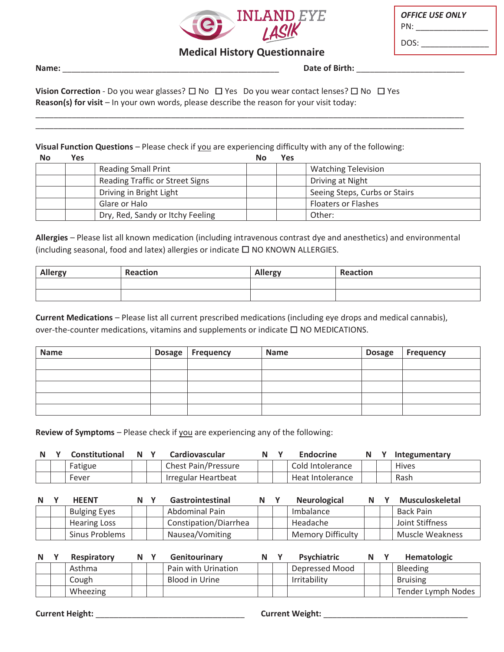

| <b>OFFICE USE ONLY</b><br>PN: |  |
|-------------------------------|--|
| DOS:                          |  |

# **Medical History Questionnaire**

77777777777777777777777777777777777777777777777777777777777777777777777777777777777777777777777 77777777777777777777777777777777777777777777777777777777777777777777777777777777777777777777777

**Name: Date of Birth: Date of Birth: Date of Birth: Date of Birth: Date of Birth: Date of Birth: Date of Birth: Property Date of Birth: Property Property Property Property Property Property**

Vision Correction - Do you wear glasses?  $\square$  No  $\square$  Yes Do you wear contact lenses?  $\square$  No  $\square$  Yes Reason(s) for visit - In your own words, please describe the reason for your visit today:

Visual Function Questions - Please check if you are experiencing difficulty with any of the following:

| No | Yes |                                  | No | Yes |                               |
|----|-----|----------------------------------|----|-----|-------------------------------|
|    |     | <b>Reading Small Print</b>       |    |     | <b>Watching Television</b>    |
|    |     | Reading Traffic or Street Signs  |    |     | Driving at Night              |
|    |     | Driving in Bright Light          |    |     | Seeing Steps, Curbs or Stairs |
|    |     | Glare or Halo                    |    |     | <b>Floaters or Flashes</b>    |
|    |     | Dry, Red, Sandy or Itchy Feeling |    |     | Other:                        |

Allergies - Please list all known medication (including intravenous contrast dye and anesthetics) and environmental (including seasonal, food and latex) allergies or indicate  $\Box$  NO KNOWN ALLERGIES.

| Allergy | <b>Reaction</b> | <b>Allergy</b> | <b>Reaction</b> |
|---------|-----------------|----------------|-----------------|
|         |                 |                |                 |
|         |                 |                |                 |

Current Medications - Please list all current prescribed medications (including eye drops and medical cannabis), over-the-counter medications, vitamins and supplements or indicate  $\Box$  NO MEDICATIONS.

| <b>Name</b> | Dosage   Frequency | <b>Name</b> | <b>Dosage</b> | <b>Frequency</b> |
|-------------|--------------------|-------------|---------------|------------------|
|             |                    |             |               |                  |
|             |                    |             |               |                  |
|             |                    |             |               |                  |
|             |                    |             |               |                  |
|             |                    |             |               |                  |

**Review of Symptoms** - Please check if you are experiencing any of the following:

| <b>N</b> | Constitutional | N. | <b>Cardiovascular</b> | N | Endocrine        |  | Integumentary |
|----------|----------------|----|-----------------------|---|------------------|--|---------------|
|          | Fatigue        |    | Chest Pain/Pressure   |   | Cold Intolerance |  | <b>Hives</b>  |
|          | Fever          |    | Irregular Heartbeat   |   | Heat Intolerance |  | Rash          |

| N | <b>HEENT</b>        | N. | Gastrointestinal      | N | <b>Neurological</b>      |  | Musculoskeletal |
|---|---------------------|----|-----------------------|---|--------------------------|--|-----------------|
|   | <b>Bulging Eyes</b> |    | Abdominal Pain        |   | Imbalance                |  | Back Pain       |
|   | <b>Hearing Loss</b> |    | Constipation/Diarrhea |   | Headache                 |  | Joint Stiffness |
|   | Sinus Problems      |    | Nausea/Vomiting       |   | <b>Memory Difficulty</b> |  | Muscle Weakness |

| N | <b>Respiratory</b> | N Y | Genitourinary       |  | <b>Psychiatric</b> | N | <b>Hematologic</b> |
|---|--------------------|-----|---------------------|--|--------------------|---|--------------------|
|   | Asthma             |     | Pain with Urination |  | Depressed Mood     |   | <b>Bleeding</b>    |
|   | Cough              |     | Blood in Urine      |  | Irritability       |   | <b>Bruising</b>    |
|   | Wheezing           |     |                     |  |                    |   | Tender Lymph Nodes |

**The Surface of Surface of Transformation of the United States of Current Weight:**  $\sim$  27777777777777777777777777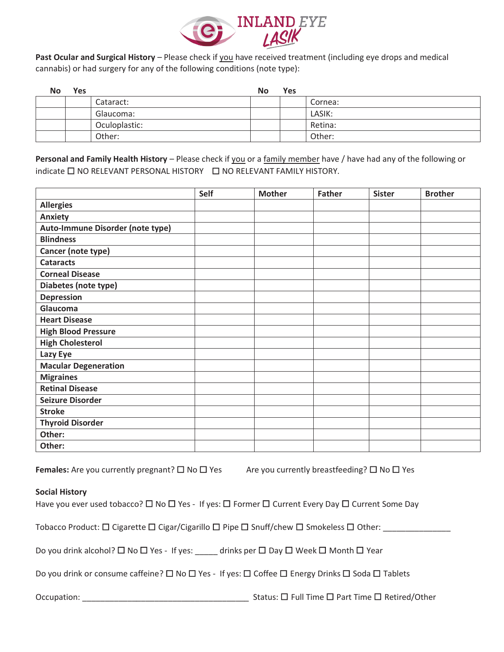

Past Ocular and Surgical History - Please check if you have received treatment (including eye drops and medical cannabis) or had surgery for any of the following conditions (note type):

| No | <b>Yes</b> |               | No | <b>Yes</b> |         |
|----|------------|---------------|----|------------|---------|
|    |            | Cataract:     |    |            | Cornea: |
|    |            | Glaucoma:     |    |            | LASIK:  |
|    |            | Oculoplastic: |    |            | Retina: |
|    |            | Other:        |    |            | Other:  |

Personal and Family Health History - Please check if you or a family member have / have had any of the following or indicate □ NO RELEVANT PERSONAL HISTORY □ NO RELEVANT FAMILY HISTORY.

|                                  | Self | <b>Mother</b> | <b>Father</b> | <b>Sister</b> | <b>Brother</b> |
|----------------------------------|------|---------------|---------------|---------------|----------------|
| <b>Allergies</b>                 |      |               |               |               |                |
| Anxiety                          |      |               |               |               |                |
| Auto-Immune Disorder (note type) |      |               |               |               |                |
| <b>Blindness</b>                 |      |               |               |               |                |
| Cancer (note type)               |      |               |               |               |                |
| <b>Cataracts</b>                 |      |               |               |               |                |
| <b>Corneal Disease</b>           |      |               |               |               |                |
| Diabetes (note type)             |      |               |               |               |                |
| <b>Depression</b>                |      |               |               |               |                |
| Glaucoma                         |      |               |               |               |                |
| <b>Heart Disease</b>             |      |               |               |               |                |
| <b>High Blood Pressure</b>       |      |               |               |               |                |
| <b>High Cholesterol</b>          |      |               |               |               |                |
| Lazy Eye                         |      |               |               |               |                |
| <b>Macular Degeneration</b>      |      |               |               |               |                |
| <b>Migraines</b>                 |      |               |               |               |                |
| <b>Retinal Disease</b>           |      |               |               |               |                |
| <b>Seizure Disorder</b>          |      |               |               |               |                |
| <b>Stroke</b>                    |      |               |               |               |                |
| <b>Thyroid Disorder</b>          |      |               |               |               |                |
| Other:                           |      |               |               |               |                |
| Other:                           |      |               |               |               |                |

Females: Are you currently pregnant?  $\square$  No  $\square$  Yes Are you currently breastfeeding?  $\square$  No  $\square$  Yes

# **Social History**

Have you ever used tobacco? □ No □ Yes - If yes: □ Former □ Current Every Day □ Current Some Day

Tobacco Product: □ Cigarette □ Cigar/Cigarillo □ Pipe □ Snuff/chew □ Smokeless □ Other: \_\_\_\_\_\_\_\_\_\_\_\_

Do you drink alcohol? □ No □ Yes - If yes: \_\_\_\_\_ drinks per □ Day □ Week □ Month □ Year

Do you drink or consume caffeine?  $\Box$  No  $\Box$  Yes - If yes:  $\Box$  Coffee  $\Box$  Energy Drinks  $\Box$  Soda  $\Box$  Tablets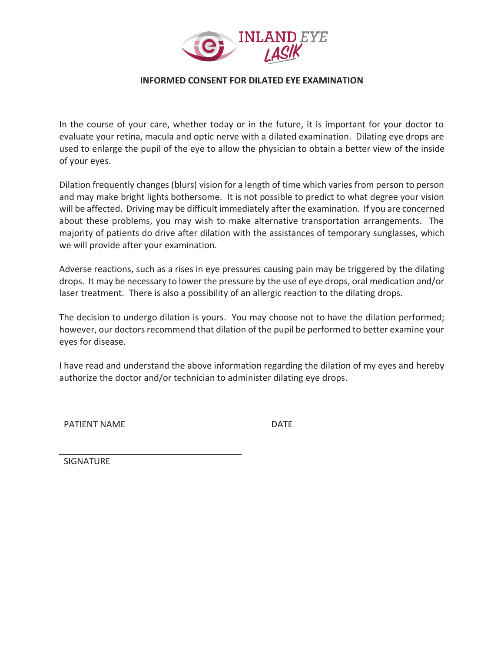

# **INFORMED CONSENT FOR DILATED EYE EXAMINATION**

In the course of your care, whether today or in the future, it is important for your doctor to evaluate your retina, macula and optic nerve with a dilated examination. Dilating eye drops are used to enlarge the pupil of the eye to allow the physician to obtain a better view of the inside of your eyes.

Dilation frequently changes (blurs) vision for a length of time which varies from person to person and may make bright lights bothersome. It is not possible to predict to what degree your vision will be affected. Driving may be difficult immediately after the examination. If you are concerned about these problems, you may wish to make alternative transportation arrangements. The majority of patients do drive after dilation with the assistances of temporary sunglasses, which we will provide after your examination.

Adverse reactions, such as a rises in eye pressures causing pain may be triggered by the dilating drops. It may be necessary to lower the pressure by the use of eye drops, oral medication and/or laser treatment. There is also a possibility of an allergic reaction to the dilating drops.

The decision to undergo dilation is yours. You may choose not to have the dilation performed; however, our doctors recommend that dilation of the pupil be performed to better examine your eves for disease.

I have read and understand the above information regarding the dilation of my eyes and hereby authorize the doctor and/or technician to administer dilating eye drops.

**PATIENT NAME** 

**DATE** 

SIGNATURE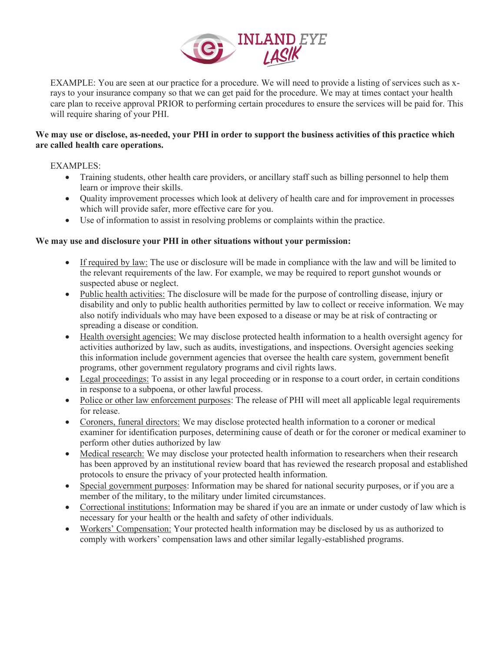

EXAMPLE: You are seen at our practice for a procedure. We will need to provide a listing of services such as xrays to your insurance company so that we can get paid for the procedure. We may at times contact your health care plan to receive approval PRIOR to performing certain procedures to ensure the services will be paid for. This will require sharing of your PHI.

# **We may use or disclose, as-needed, your PHI in order to support the business activities of this practice which are called health care operations.**

EXAMPLES:

- Training students, other health care providers, or ancillary staff such as billing personnel to help them learn or improve their skills.
- Quality improvement processes which look at delivery of health care and for improvement in processes which will provide safer, more effective care for you.
- Use of information to assist in resolving problems or complaints within the practice.

# **We may use and disclosure your PHI in other situations without your permission:**

- If required by law: The use or disclosure will be made in compliance with the law and will be limited to the relevant requirements of the law. For example, we may be required to report gunshot wounds or suspected abuse or neglect.
- Public health activities: The disclosure will be made for the purpose of controlling disease, injury or disability and only to public health authorities permitted by law to collect or receive information. We may also notify individuals who may have been exposed to a disease or may be at risk of contracting or spreading a disease or condition.
- Health oversight agencies: We may disclose protected health information to a health oversight agency for activities authorized by law, such as audits, investigations, and inspections. Oversight agencies seeking this information include government agencies that oversee the health care system, government benefit programs, other government regulatory programs and civil rights laws.
- Legal proceedings: To assist in any legal proceeding or in response to a court order, in certain conditions in response to a subpoena, or other lawful process.
- Police or other law enforcement purposes: The release of PHI will meet all applicable legal requirements for release.
- Coroners, funeral directors: We may disclose protected health information to a coroner or medical examiner for identification purposes, determining cause of death or for the coroner or medical examiner to perform other duties authorized by law
- Medical research: We may disclose your protected health information to researchers when their research has been approved by an institutional review board that has reviewed the research proposal and established protocols to ensure the privacy of your protected health information.
- Special government purposes: Information may be shared for national security purposes, or if you are a member of the military, to the military under limited circumstances.
- Correctional institutions: Information may be shared if you are an inmate or under custody of law which is necessary for your health or the health and safety of other individuals.
- x Workers' Compensation: Your protected health information may be disclosed by us as authorized to comply with workers' compensation laws and other similar legally-established programs.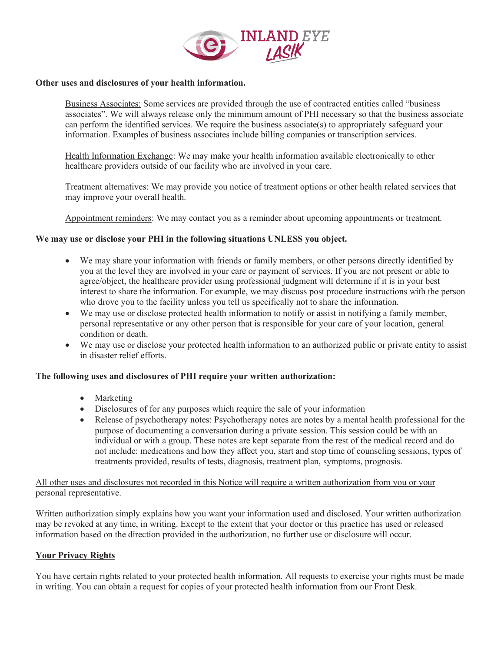

#### **Other uses and disclosures of your health information.**

Business Associates: Some services are provided through the use of contracted entities called "business associates". We will always release only the minimum amount of PHI necessary so that the business associate can perform the identified services. We require the business associate(s) to appropriately safeguard your information. Examples of business associates include billing companies or transcription services.

Health Information Exchange: We may make your health information available electronically to other healthcare providers outside of our facility who are involved in your care.

Treatment alternatives: We may provide you notice of treatment options or other health related services that may improve your overall health.

Appointment reminders: We may contact you as a reminder about upcoming appointments or treatment.

#### **We may use or disclose your PHI in the following situations UNLESS you object.**

- We may share your information with friends or family members, or other persons directly identified by you at the level they are involved in your care or payment of services. If you are not present or able to agree/object, the healthcare provider using professional judgment will determine if it is in your best interest to share the information. For example, we may discuss post procedure instructions with the person who drove you to the facility unless you tell us specifically not to share the information.
- We may use or disclose protected health information to notify or assist in notifying a family member, personal representative or any other person that is responsible for your care of your location, general condition or death.
- We may use or disclose your protected health information to an authorized public or private entity to assist in disaster relief efforts.

#### **The following uses and disclosures of PHI require your written authorization:**

- $•$  Marketing
- Disclosures of for any purposes which require the sale of your information
- Release of psychotherapy notes: Psychotherapy notes are notes by a mental health professional for the purpose of documenting a conversation during a private session. This session could be with an individual or with a group. These notes are kept separate from the rest of the medical record and do not include: medications and how they affect you, start and stop time of counseling sessions, types of treatments provided, results of tests, diagnosis, treatment plan, symptoms, prognosis.

#### All other uses and disclosures not recorded in this Notice will require a written authorization from you or your personal representative.

Written authorization simply explains how you want your information used and disclosed. Your written authorization may be revoked at any time, in writing. Except to the extent that your doctor or this practice has used or released information based on the direction provided in the authorization, no further use or disclosure will occur.

# **Your Privacy Rights**

You have certain rights related to your protected health information. All requests to exercise your rights must be made in writing. You can obtain a request for copies of your protected health information from our Front Desk.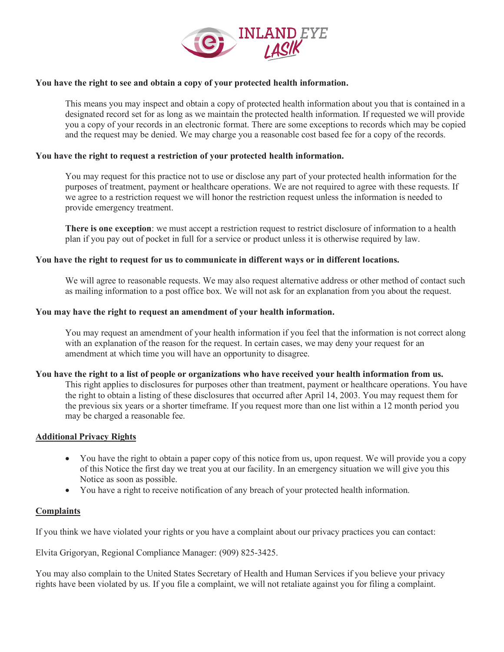

#### **You have the right to see and obtain a copy of your protected health information.**

This means you may inspect and obtain a copy of protected health information about you that is contained in a designated record set for as long as we maintain the protected health information. If requested we will provide you a copy of your records in an electronic format. There are some exceptions to records which may be copied and the request may be denied. We may charge you a reasonable cost based fee for a copy of the records.

# **You have the right to request a restriction of your protected health information.**

You may request for this practice not to use or disclose any part of your protected health information for the purposes of treatment, payment or healthcare operations. We are not required to agree with these requests. If we agree to a restriction request we will honor the restriction request unless the information is needed to provide emergency treatment.

**There is one exception**: we must accept a restriction request to restrict disclosure of information to a health plan if you pay out of pocket in full for a service or product unless it is otherwise required by law.

#### **You have the right to request for us to communicate in different ways or in different locations.**

We will agree to reasonable requests. We may also request alternative address or other method of contact such as mailing information to a post office box. We will not ask for an explanation from you about the request.

#### **You may have the right to request an amendment of your health information.**

You may request an amendment of your health information if you feel that the information is not correct along with an explanation of the reason for the request. In certain cases, we may deny your request for an amendment at which time you will have an opportunity to disagree.

#### **You have the right to a list of people or organizations who have received your health information from us.**

This right applies to disclosures for purposes other than treatment, payment or healthcare operations. You have the right to obtain a listing of these disclosures that occurred after April 14, 2003. You may request them for the previous six years or a shorter timeframe. If you request more than one list within a 12 month period you may be charged a reasonable fee.

# **Additional Privacy Rights**

- You have the right to obtain a paper copy of this notice from us, upon request. We will provide you a copy of this Notice the first day we treat you at our facility. In an emergency situation we will give you this Notice as soon as possible.
- You have a right to receive notification of any breach of your protected health information.

# **Complaints**

If you think we have violated your rights or you have a complaint about our privacy practices you can contact:

Elvita Grigoryan, Regional Compliance Manager: (909) 825-3425.

You may also complain to the United States Secretary of Health and Human Services if you believe your privacy rights have been violated by us. If you file a complaint, we will not retaliate against you for filing a complaint.